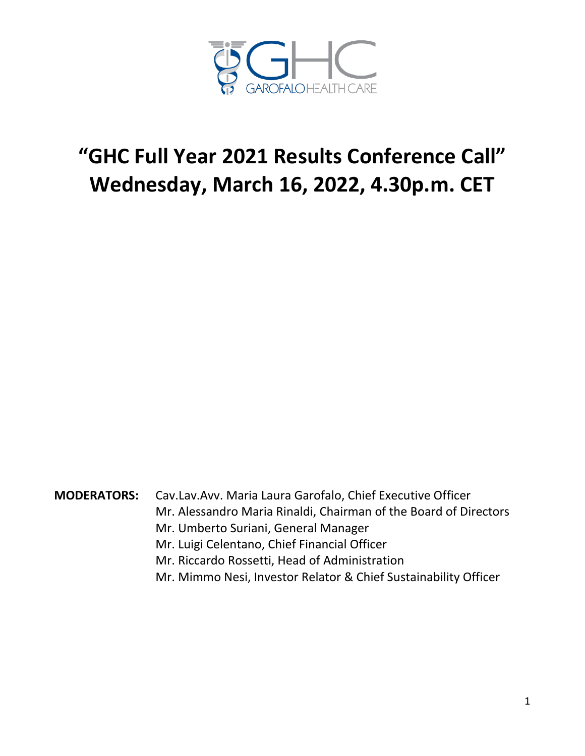

## **"GHC Full Year 2021 Results Conference Call" Wednesday, March 16, 2022, 4.30p.m. CET**

**MODERATORS:** Cav.Lav.Avv. Maria Laura Garofalo, Chief Executive Officer Mr. Alessandro Maria Rinaldi, Chairman of the Board of Directors Mr. Umberto Suriani, General Manager Mr. Luigi Celentano, Chief Financial Officer Mr. Riccardo Rossetti, Head of Administration

Mr. Mimmo Nesi, Investor Relator & Chief Sustainability Officer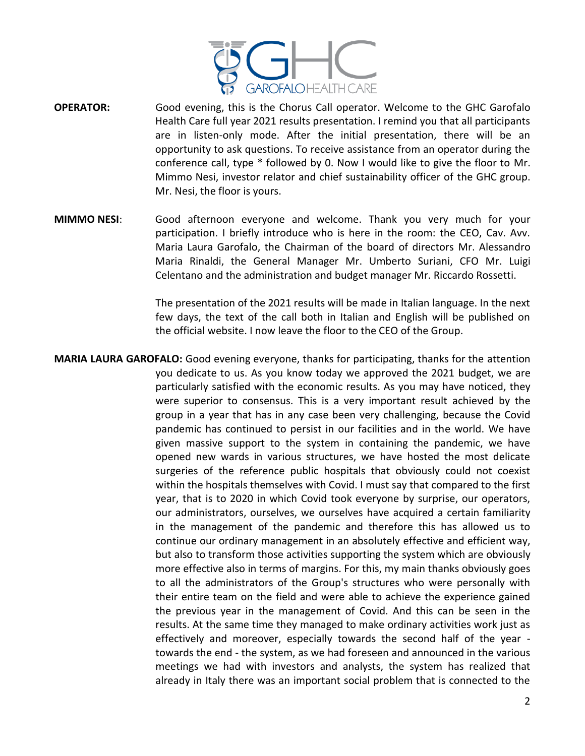

- **OPERATOR:** Good evening, this is the Chorus Call operator. Welcome to the GHC Garofalo Health Care full year 2021 results presentation. I remind you that all participants are in listen-only mode. After the initial presentation, there will be an opportunity to ask questions. To receive assistance from an operator during the conference call, type \* followed by 0. Now I would like to give the floor to Mr. Mimmo Nesi, investor relator and chief sustainability officer of the GHC group. Mr. Nesi, the floor is yours.
- **MIMMO NESI**: Good afternoon everyone and welcome. Thank you very much for your participation. I briefly introduce who is here in the room: the CEO, Cav. Avv. Maria Laura Garofalo, the Chairman of the board of directors Mr. Alessandro Maria Rinaldi, the General Manager Mr. Umberto Suriani, CFO Mr. Luigi Celentano and the administration and budget manager Mr. Riccardo Rossetti.

The presentation of the 2021 results will be made in Italian language. In the next few days, the text of the call both in Italian and English will be published on the official website. I now leave the floor to the CEO of the Group.

**MARIA LAURA GAROFALO:** Good evening everyone, thanks for participating, thanks for the attention you dedicate to us. As you know today we approved the 2021 budget, we are particularly satisfied with the economic results. As you may have noticed, they were superior to consensus. This is a very important result achieved by the group in a year that has in any case been very challenging, because the Covid pandemic has continued to persist in our facilities and in the world. We have given massive support to the system in containing the pandemic, we have opened new wards in various structures, we have hosted the most delicate surgeries of the reference public hospitals that obviously could not coexist within the hospitals themselves with Covid. I must say that compared to the first year, that is to 2020 in which Covid took everyone by surprise, our operators, our administrators, ourselves, we ourselves have acquired a certain familiarity in the management of the pandemic and therefore this has allowed us to continue our ordinary management in an absolutely effective and efficient way, but also to transform those activities supporting the system which are obviously more effective also in terms of margins. For this, my main thanks obviously goes to all the administrators of the Group's structures who were personally with their entire team on the field and were able to achieve the experience gained the previous year in the management of Covid. And this can be seen in the results. At the same time they managed to make ordinary activities work just as effectively and moreover, especially towards the second half of the year towards the end - the system, as we had foreseen and announced in the various meetings we had with investors and analysts, the system has realized that already in Italy there was an important social problem that is connected to the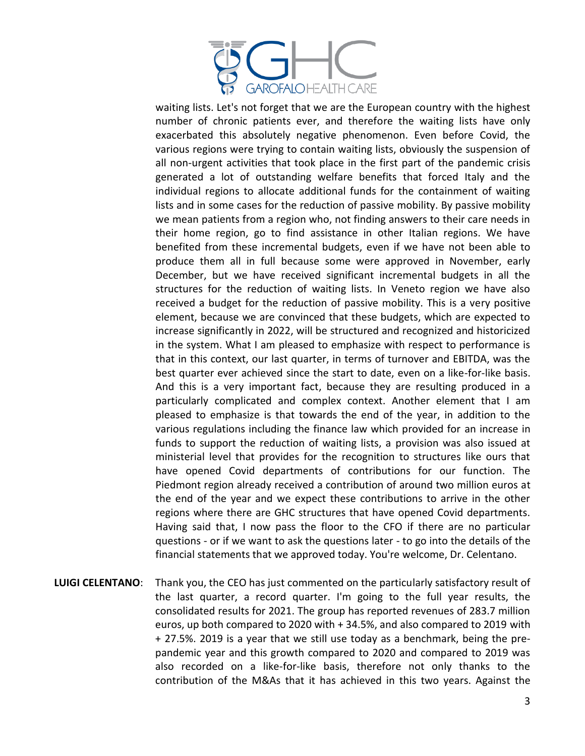

waiting lists. Let's not forget that we are the European country with the highest number of chronic patients ever, and therefore the waiting lists have only exacerbated this absolutely negative phenomenon. Even before Covid, the various regions were trying to contain waiting lists, obviously the suspension of all non-urgent activities that took place in the first part of the pandemic crisis generated a lot of outstanding welfare benefits that forced Italy and the individual regions to allocate additional funds for the containment of waiting lists and in some cases for the reduction of passive mobility. By passive mobility we mean patients from a region who, not finding answers to their care needs in their home region, go to find assistance in other Italian regions. We have benefited from these incremental budgets, even if we have not been able to produce them all in full because some were approved in November, early December, but we have received significant incremental budgets in all the structures for the reduction of waiting lists. In Veneto region we have also received a budget for the reduction of passive mobility. This is a very positive element, because we are convinced that these budgets, which are expected to increase significantly in 2022, will be structured and recognized and historicized in the system. What I am pleased to emphasize with respect to performance is that in this context, our last quarter, in terms of turnover and EBITDA, was the best quarter ever achieved since the start to date, even on a like-for-like basis. And this is a very important fact, because they are resulting produced in a particularly complicated and complex context. Another element that I am pleased to emphasize is that towards the end of the year, in addition to the various regulations including the finance law which provided for an increase in funds to support the reduction of waiting lists, a provision was also issued at ministerial level that provides for the recognition to structures like ours that have opened Covid departments of contributions for our function. The Piedmont region already received a contribution of around two million euros at the end of the year and we expect these contributions to arrive in the other regions where there are GHC structures that have opened Covid departments. Having said that, I now pass the floor to the CFO if there are no particular questions - or if we want to ask the questions later - to go into the details of the financial statements that we approved today. You're welcome, Dr. Celentano.

**LUIGI CELENTANO**: Thank you, the CEO has just commented on the particularly satisfactory result of the last quarter, a record quarter. I'm going to the full year results, the consolidated results for 2021. The group has reported revenues of 283.7 million euros, up both compared to 2020 with + 34.5%, and also compared to 2019 with + 27.5%. 2019 is a year that we still use today as a benchmark, being the prepandemic year and this growth compared to 2020 and compared to 2019 was also recorded on a like-for-like basis, therefore not only thanks to the contribution of the M&As that it has achieved in this two years. Against the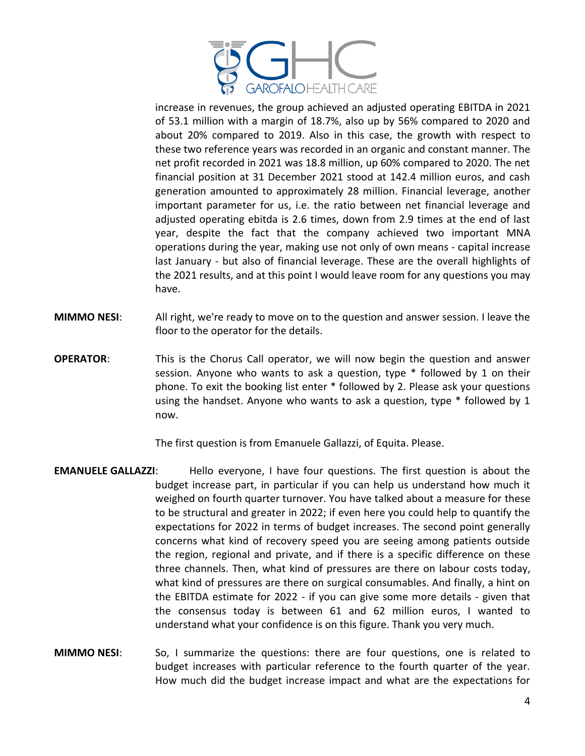

increase in revenues, the group achieved an adjusted operating EBITDA in 2021 of 53.1 million with a margin of 18.7%, also up by 56% compared to 2020 and about 20% compared to 2019. Also in this case, the growth with respect to these two reference years was recorded in an organic and constant manner. The net profit recorded in 2021 was 18.8 million, up 60% compared to 2020. The net financial position at 31 December 2021 stood at 142.4 million euros, and cash generation amounted to approximately 28 million. Financial leverage, another important parameter for us, i.e. the ratio between net financial leverage and adjusted operating ebitda is 2.6 times, down from 2.9 times at the end of last year, despite the fact that the company achieved two important MNA operations during the year, making use not only of own means - capital increase last January - but also of financial leverage. These are the overall highlights of the 2021 results, and at this point I would leave room for any questions you may have.

- **MIMMO NESI**: All right, we're ready to move on to the question and answer session. I leave the floor to the operator for the details.
- **OPERATOR:** This is the Chorus Call operator, we will now begin the question and answer session. Anyone who wants to ask a question, type \* followed by 1 on their phone. To exit the booking list enter \* followed by 2. Please ask your questions using the handset. Anyone who wants to ask a question, type \* followed by 1 now.

The first question is from Emanuele Gallazzi, of Equita. Please.

- **EMANUELE GALLAZZI:** Hello everyone, I have four questions. The first question is about the budget increase part, in particular if you can help us understand how much it weighed on fourth quarter turnover. You have talked about a measure for these to be structural and greater in 2022; if even here you could help to quantify the expectations for 2022 in terms of budget increases. The second point generally concerns what kind of recovery speed you are seeing among patients outside the region, regional and private, and if there is a specific difference on these three channels. Then, what kind of pressures are there on labour costs today, what kind of pressures are there on surgical consumables. And finally, a hint on the EBITDA estimate for 2022 - if you can give some more details - given that the consensus today is between 61 and 62 million euros, I wanted to understand what your confidence is on this figure. Thank you very much.
- **MIMMO NESI**: So, I summarize the questions: there are four questions, one is related to budget increases with particular reference to the fourth quarter of the year. How much did the budget increase impact and what are the expectations for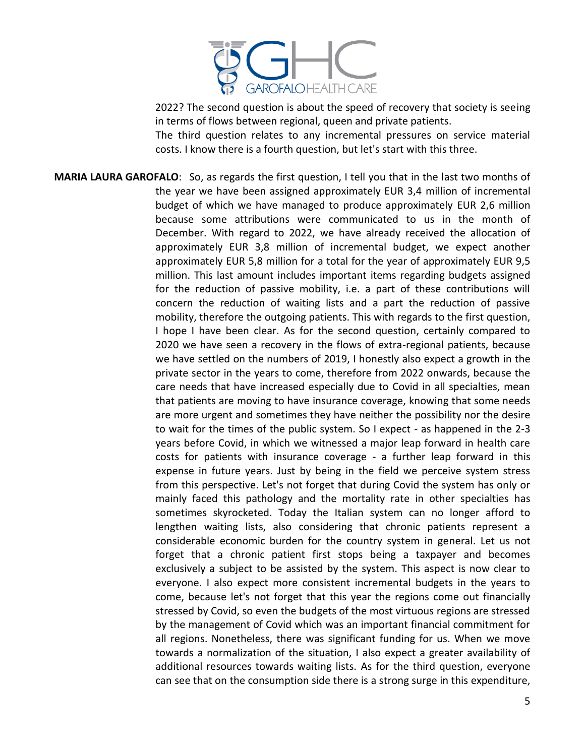

2022? The second question is about the speed of recovery that society is seeing in terms of flows between regional, queen and private patients.

The third question relates to any incremental pressures on service material costs. I know there is a fourth question, but let's start with this three.

**MARIA LAURA GAROFALO**: So, as regards the first question, I tell you that in the last two months of the year we have been assigned approximately EUR 3,4 million of incremental budget of which we have managed to produce approximately EUR 2,6 million because some attributions were communicated to us in the month of December. With regard to 2022, we have already received the allocation of approximately EUR 3,8 million of incremental budget, we expect another approximately EUR 5,8 million for a total for the year of approximately EUR 9,5 million. This last amount includes important items regarding budgets assigned for the reduction of passive mobility, i.e. a part of these contributions will concern the reduction of waiting lists and a part the reduction of passive mobility, therefore the outgoing patients. This with regards to the first question, I hope I have been clear. As for the second question, certainly compared to 2020 we have seen a recovery in the flows of extra-regional patients, because we have settled on the numbers of 2019, I honestly also expect a growth in the private sector in the years to come, therefore from 2022 onwards, because the care needs that have increased especially due to Covid in all specialties, mean that patients are moving to have insurance coverage, knowing that some needs are more urgent and sometimes they have neither the possibility nor the desire to wait for the times of the public system. So I expect - as happened in the 2-3 years before Covid, in which we witnessed a major leap forward in health care costs for patients with insurance coverage - a further leap forward in this expense in future years. Just by being in the field we perceive system stress from this perspective. Let's not forget that during Covid the system has only or mainly faced this pathology and the mortality rate in other specialties has sometimes skyrocketed. Today the Italian system can no longer afford to lengthen waiting lists, also considering that chronic patients represent a considerable economic burden for the country system in general. Let us not forget that a chronic patient first stops being a taxpayer and becomes exclusively a subject to be assisted by the system. This aspect is now clear to everyone. I also expect more consistent incremental budgets in the years to come, because let's not forget that this year the regions come out financially stressed by Covid, so even the budgets of the most virtuous regions are stressed by the management of Covid which was an important financial commitment for all regions. Nonetheless, there was significant funding for us. When we move towards a normalization of the situation, I also expect a greater availability of additional resources towards waiting lists. As for the third question, everyone can see that on the consumption side there is a strong surge in this expenditure,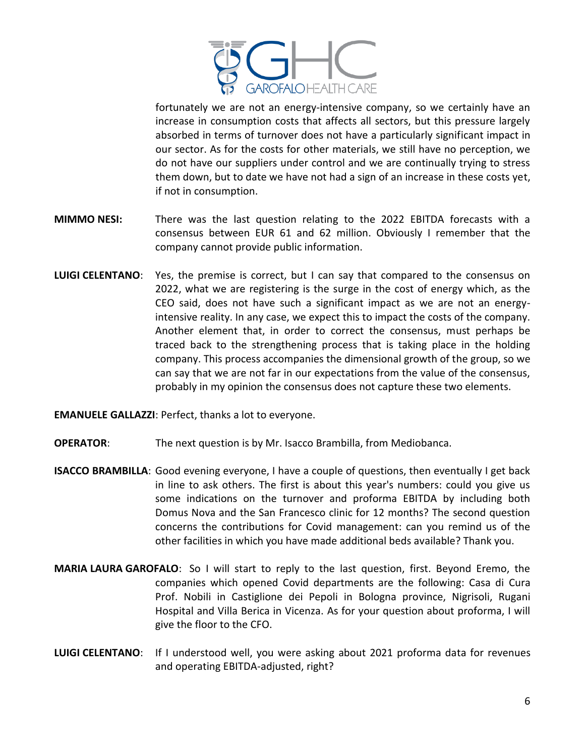

fortunately we are not an energy-intensive company, so we certainly have an increase in consumption costs that affects all sectors, but this pressure largely absorbed in terms of turnover does not have a particularly significant impact in our sector. As for the costs for other materials, we still have no perception, we do not have our suppliers under control and we are continually trying to stress them down, but to date we have not had a sign of an increase in these costs yet, if not in consumption.

- **MIMMO NESI:** There was the last question relating to the 2022 EBITDA forecasts with a consensus between EUR 61 and 62 million. Obviously I remember that the company cannot provide public information.
- **LUIGI CELENTANO**: Yes, the premise is correct, but I can say that compared to the consensus on 2022, what we are registering is the surge in the cost of energy which, as the CEO said, does not have such a significant impact as we are not an energyintensive reality. In any case, we expect this to impact the costs of the company. Another element that, in order to correct the consensus, must perhaps be traced back to the strengthening process that is taking place in the holding company. This process accompanies the dimensional growth of the group, so we can say that we are not far in our expectations from the value of the consensus, probably in my opinion the consensus does not capture these two elements.

**EMANUELE GALLAZZI**: Perfect, thanks a lot to everyone.

- **OPERATOR:** The next question is by Mr. Isacco Brambilla, from Mediobanca.
- **ISACCO BRAMBILLA**: Good evening everyone, I have a couple of questions, then eventually I get back in line to ask others. The first is about this year's numbers: could you give us some indications on the turnover and proforma EBITDA by including both Domus Nova and the San Francesco clinic for 12 months? The second question concerns the contributions for Covid management: can you remind us of the other facilities in which you have made additional beds available? Thank you.
- **MARIA LAURA GAROFALO**: So I will start to reply to the last question, first. Beyond Eremo, the companies which opened Covid departments are the following: Casa di Cura Prof. Nobili in Castiglione dei Pepoli in Bologna province, Nigrisoli, Rugani Hospital and Villa Berica in Vicenza. As for your question about proforma, I will give the floor to the CFO.
- **LUIGI CELENTANO**: If I understood well, you were asking about 2021 proforma data for revenues and operating EBITDA-adjusted, right?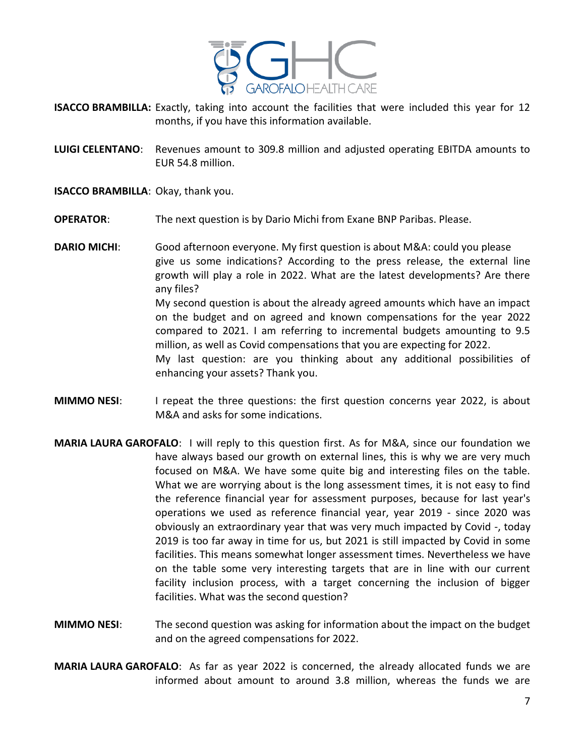

- **ISACCO BRAMBILLA:** Exactly, taking into account the facilities that were included this year for 12 months, if you have this information available.
- **LUIGI CELENTANO**: Revenues amount to 309.8 million and adjusted operating EBITDA amounts to EUR 54.8 million.

**ISACCO BRAMBILLA**: Okay, thank you.

- **OPERATOR:** The next question is by Dario Michi from Exane BNP Paribas. Please.
- **DARIO MICHI**: Good afternoon everyone. My first question is about M&A: could you please give us some indications? According to the press release, the external line growth will play a role in 2022. What are the latest developments? Are there any files? My second question is about the already agreed amounts which have an impact on the budget and on agreed and known compensations for the year 2022 compared to 2021. I am referring to incremental budgets amounting to 9.5 million, as well as Covid compensations that you are expecting for 2022. My last question: are you thinking about any additional possibilities of enhancing your assets? Thank you.
- **MIMMO NESI:** I repeat the three questions: the first question concerns year 2022, is about M&A and asks for some indications.
- **MARIA LAURA GAROFALO**: I will reply to this question first. As for M&A, since our foundation we have always based our growth on external lines, this is why we are very much focused on M&A. We have some quite big and interesting files on the table. What we are worrying about is the long assessment times, it is not easy to find the reference financial year for assessment purposes, because for last year's operations we used as reference financial year, year 2019 - since 2020 was obviously an extraordinary year that was very much impacted by Covid -, today 2019 is too far away in time for us, but 2021 is still impacted by Covid in some facilities. This means somewhat longer assessment times. Nevertheless we have on the table some very interesting targets that are in line with our current facility inclusion process, with a target concerning the inclusion of bigger facilities. What was the second question?
- **MIMMO NESI**: The second question was asking for information about the impact on the budget and on the agreed compensations for 2022.
- **MARIA LAURA GAROFALO**: As far as year 2022 is concerned, the already allocated funds we are informed about amount to around 3.8 million, whereas the funds we are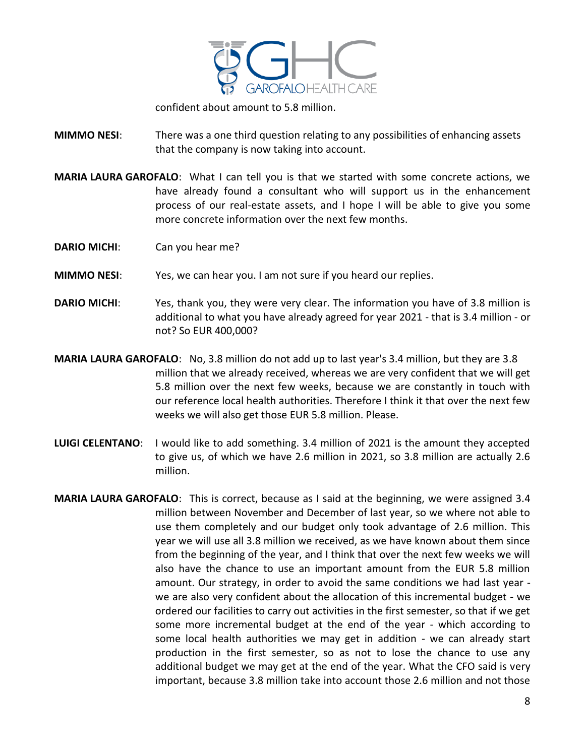

confident about amount to 5.8 million.

**MIMMO NESI**: There was a one third question relating to any possibilities of enhancing assets that the company is now taking into account.

- **MARIA LAURA GAROFALO**: What I can tell you is that we started with some concrete actions, we have already found a consultant who will support us in the enhancement process of our real-estate assets, and I hope I will be able to give you some more concrete information over the next few months.
- **DARIO MICHI**: Can you hear me?
- **MIMMO NESI**: Yes, we can hear you. I am not sure if you heard our replies.
- **DARIO MICHI**: Yes, thank you, they were very clear. The information you have of 3.8 million is additional to what you have already agreed for year 2021 - that is 3.4 million - or not? So EUR 400,000?
- **MARIA LAURA GAROFALO**: No, 3.8 million do not add up to last year's 3.4 million, but they are 3.8 million that we already received, whereas we are very confident that we will get 5.8 million over the next few weeks, because we are constantly in touch with our reference local health authorities. Therefore I think it that over the next few weeks we will also get those EUR 5.8 million. Please.
- **LUIGI CELENTANO**: I would like to add something. 3.4 million of 2021 is the amount they accepted to give us, of which we have 2.6 million in 2021, so 3.8 million are actually 2.6 million.
- **MARIA LAURA GAROFALO**: This is correct, because as I said at the beginning, we were assigned 3.4 million between November and December of last year, so we where not able to use them completely and our budget only took advantage of 2.6 million. This year we will use all 3.8 million we received, as we have known about them since from the beginning of the year, and I think that over the next few weeks we will also have the chance to use an important amount from the EUR 5.8 million amount. Our strategy, in order to avoid the same conditions we had last year we are also very confident about the allocation of this incremental budget - we ordered our facilities to carry out activities in the first semester, so that if we get some more incremental budget at the end of the year - which according to some local health authorities we may get in addition - we can already start production in the first semester, so as not to lose the chance to use any additional budget we may get at the end of the year. What the CFO said is very important, because 3.8 million take into account those 2.6 million and not those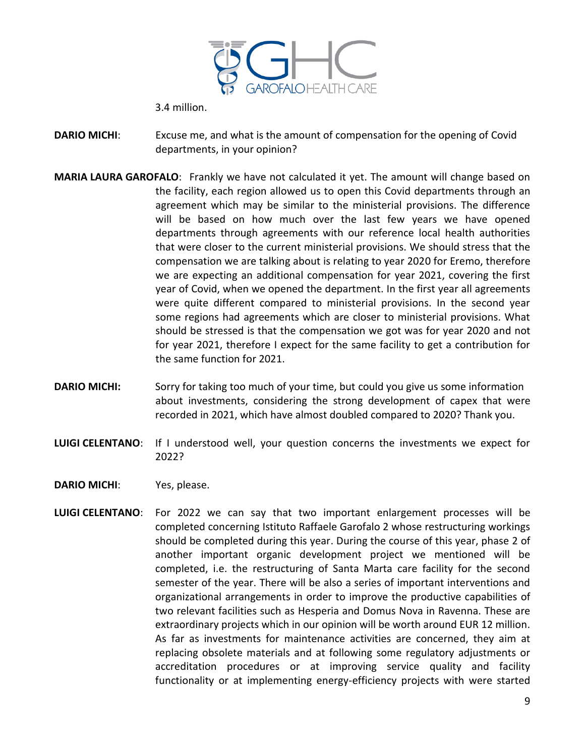

3.4 million.

**DARIO MICHI**: Excuse me, and what is the amount of compensation for the opening of Covid departments, in your opinion?

- **MARIA LAURA GAROFALO**: Frankly we have not calculated it yet. The amount will change based on the facility, each region allowed us to open this Covid departments through an agreement which may be similar to the ministerial provisions. The difference will be based on how much over the last few years we have opened departments through agreements with our reference local health authorities that were closer to the current ministerial provisions. We should stress that the compensation we are talking about is relating to year 2020 for Eremo, therefore we are expecting an additional compensation for year 2021, covering the first year of Covid, when we opened the department. In the first year all agreements were quite different compared to ministerial provisions. In the second year some regions had agreements which are closer to ministerial provisions. What should be stressed is that the compensation we got was for year 2020 and not for year 2021, therefore I expect for the same facility to get a contribution for the same function for 2021.
- **DARIO MICHI:** Sorry for taking too much of your time, but could you give us some information about investments, considering the strong development of capex that were recorded in 2021, which have almost doubled compared to 2020? Thank you.
- **LUIGI CELENTANO**: If I understood well, your question concerns the investments we expect for 2022?
- **DARIO MICHI**: Yes, please.
- **LUIGI CELENTANO**: For 2022 we can say that two important enlargement processes will be completed concerning Istituto Raffaele Garofalo 2 whose restructuring workings should be completed during this year. During the course of this year, phase 2 of another important organic development project we mentioned will be completed, i.e. the restructuring of Santa Marta care facility for the second semester of the year. There will be also a series of important interventions and organizational arrangements in order to improve the productive capabilities of two relevant facilities such as Hesperia and Domus Nova in Ravenna. These are extraordinary projects which in our opinion will be worth around EUR 12 million. As far as investments for maintenance activities are concerned, they aim at replacing obsolete materials and at following some regulatory adjustments or accreditation procedures or at improving service quality and facility functionality or at implementing energy-efficiency projects with were started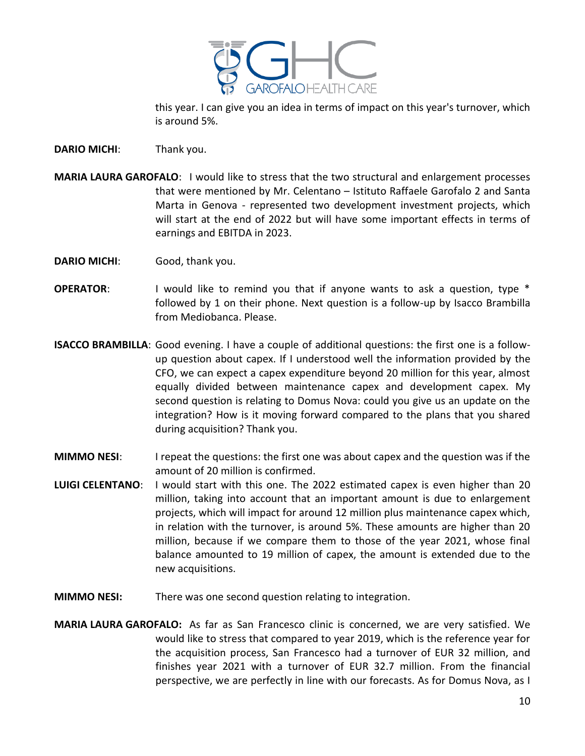

this year. I can give you an idea in terms of impact on this year's turnover, which is around 5%.

**DARIO MICHI**: Thank you.

- **MARIA LAURA GAROFALO**: I would like to stress that the two structural and enlargement processes that were mentioned by Mr. Celentano – Istituto Raffaele Garofalo 2 and Santa Marta in Genova - represented two development investment projects, which will start at the end of 2022 but will have some important effects in terms of earnings and EBITDA in 2023.
- **DARIO MICHI**: Good, thank you.
- **OPERATOR:** I would like to remind you that if anyone wants to ask a question, type \* followed by 1 on their phone. Next question is a follow-up by Isacco Brambilla from Mediobanca. Please.
- **ISACCO BRAMBILLA**: Good evening. I have a couple of additional questions: the first one is a followup question about capex. If I understood well the information provided by the CFO, we can expect a capex expenditure beyond 20 million for this year, almost equally divided between maintenance capex and development capex. My second question is relating to Domus Nova: could you give us an update on the integration? How is it moving forward compared to the plans that you shared during acquisition? Thank you.
- **MIMMO NESI:** I repeat the questions: the first one was about capex and the question was if the amount of 20 million is confirmed.
- **LUIGI CELENTANO**: I would start with this one. The 2022 estimated capex is even higher than 20 million, taking into account that an important amount is due to enlargement projects, which will impact for around 12 million plus maintenance capex which, in relation with the turnover, is around 5%. These amounts are higher than 20 million, because if we compare them to those of the year 2021, whose final balance amounted to 19 million of capex, the amount is extended due to the new acquisitions.
- **MIMMO NESI:** There was one second question relating to integration.
- **MARIA LAURA GAROFALO:** As far as San Francesco clinic is concerned, we are very satisfied. We would like to stress that compared to year 2019, which is the reference year for the acquisition process, San Francesco had a turnover of EUR 32 million, and finishes year 2021 with a turnover of EUR 32.7 million. From the financial perspective, we are perfectly in line with our forecasts. As for Domus Nova, as I